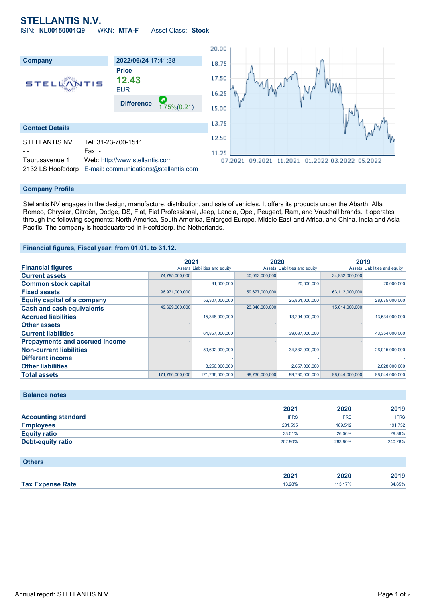# **STELLANTIS N.V.**

ISIN: **NL00150001Q9** WKN: **MTA-F** Asset Class: **Stock**



### **Company Profile**

Stellantis NV engages in the design, manufacture, distribution, and sale of vehicles. It offers its products under the Abarth, Alfa Romeo, Chrysler, Citroën, Dodge, DS, Fiat, Fiat Professional, Jeep, Lancia, Opel, Peugeot, Ram, and Vauxhall brands. It operates through the following segments: North America, South America, Enlarged Europe, Middle East and Africa, and China, India and Asia Pacific. The company is headquartered in Hoofddorp, the Netherlands.

### **Financial figures, Fiscal year: from 01.01. to 31.12.**

|                                       | 2021                          |                 | 2020                          |                | 2019                          |                |
|---------------------------------------|-------------------------------|-----------------|-------------------------------|----------------|-------------------------------|----------------|
| <b>Financial figures</b>              | Assets Liabilities and equity |                 | Assets Liabilities and equity |                | Assets Liabilities and equity |                |
| <b>Current assets</b>                 | 74,795,000,000                |                 | 40,053,000,000                |                | 34,932,000,000                |                |
| <b>Common stock capital</b>           |                               | 31,000,000      |                               | 20,000,000     |                               | 20,000,000     |
| <b>Fixed assets</b>                   | 96,971,000,000                |                 | 59,677,000,000                |                | 63,112,000,000                |                |
| <b>Equity capital of a company</b>    |                               | 56,307,000,000  |                               | 25,861,000,000 |                               | 28,675,000,000 |
| <b>Cash and cash equivalents</b>      | 49,629,000,000                |                 | 23,846,000,000                |                | 15,014,000,000                |                |
| <b>Accrued liabilities</b>            |                               | 15,348,000,000  |                               | 13,294,000,000 |                               | 13,534,000,000 |
| <b>Other assets</b>                   |                               |                 |                               |                |                               |                |
| <b>Current liabilities</b>            |                               | 64,857,000,000  |                               | 39,037,000,000 |                               | 43,354,000,000 |
| <b>Prepayments and accrued income</b> |                               |                 |                               |                |                               |                |
| <b>Non-current liabilities</b>        |                               | 50,602,000,000  |                               | 34,832,000,000 |                               | 26,015,000,000 |
| <b>Different income</b>               |                               |                 |                               |                |                               |                |
| <b>Other liabilities</b>              |                               | 8,256,000,000   |                               | 2,657,000,000  |                               | 2,828,000,000  |
| <b>Total assets</b>                   | 171.766.000.000               | 171.766.000.000 | 99,730,000,000                | 99,730,000,000 | 98.044.000.000                | 98.044.000.000 |

**Balance notes**

|                            | 2021        | 2020        | 2019        |
|----------------------------|-------------|-------------|-------------|
| <b>Accounting standard</b> | <b>IFRS</b> | <b>IFRS</b> | <b>IFRS</b> |
| <b>Employees</b>           | 281.595     | 189.512     | 191,752     |
| <b>Equity ratio</b>        | 33.01%      | 26.06%      | 29.39%      |
| Debt-equity ratio          | 202.90%     | 283.80%     | 240.28%     |

| <b>Others</b>           |        |         |        |
|-------------------------|--------|---------|--------|
|                         | 2021   | 2020    | 2019   |
| <b>Tax Expense Rate</b> | 13.28% | 113.17% | 34.65% |